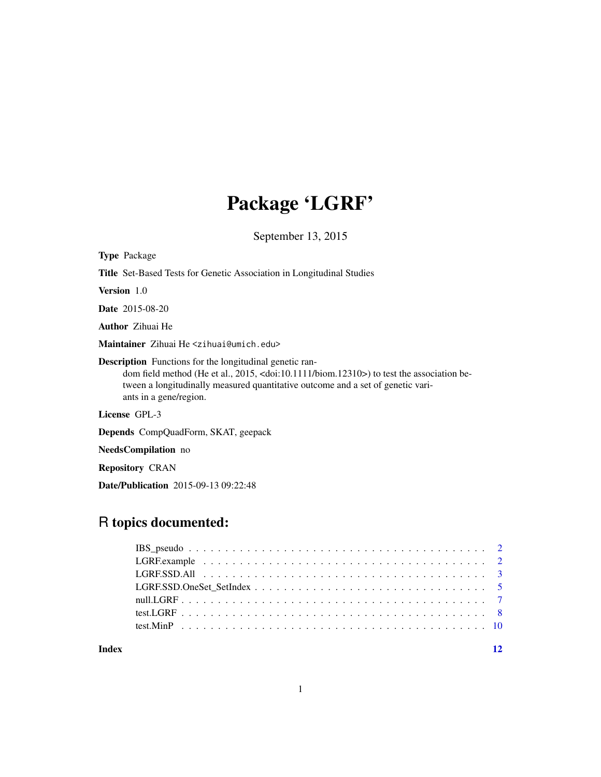# Package 'LGRF'

September 13, 2015

| <b>Type Package</b>                                                                                                                                                                                                                                                                        |
|--------------------------------------------------------------------------------------------------------------------------------------------------------------------------------------------------------------------------------------------------------------------------------------------|
| <b>Title</b> Set-Based Tests for Genetic Association in Longitudinal Studies                                                                                                                                                                                                               |
| <b>Version</b> 1.0                                                                                                                                                                                                                                                                         |
| <b>Date</b> 2015-08-20                                                                                                                                                                                                                                                                     |
| <b>Author</b> Zihuai He                                                                                                                                                                                                                                                                    |
| Maintainer Zihuai He <zihuai@umich.edu></zihuai@umich.edu>                                                                                                                                                                                                                                 |
| <b>Description</b> Functions for the longitudinal genetic ran-<br>dom field method (He et al., 2015, <doi:10.1111 biom.12310="">) to test the association be-<br/>tween a longitudinally measured quantitative outcome and a set of genetic vari-<br/>ants in a gene/region.</doi:10.1111> |
| License GPL-3                                                                                                                                                                                                                                                                              |
| <b>Depends</b> CompQuadForm, SKAT, geepack                                                                                                                                                                                                                                                 |
| <b>NeedsCompilation</b> no                                                                                                                                                                                                                                                                 |

Repository CRAN

Date/Publication 2015-09-13 09:22:48

### R topics documented:

| Index |  |
|-------|--|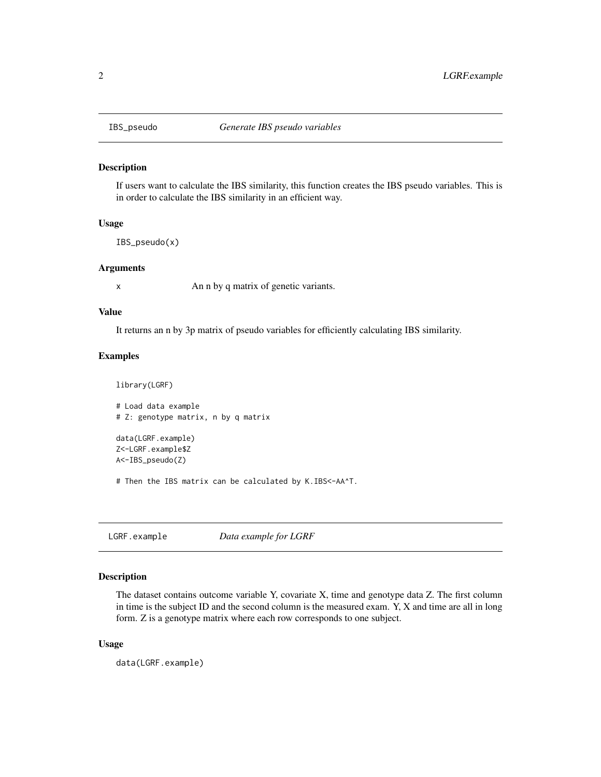<span id="page-1-0"></span>

#### Description

If users want to calculate the IBS similarity, this function creates the IBS pseudo variables. This is in order to calculate the IBS similarity in an efficient way.

#### Usage

IBS\_pseudo(x)

#### Arguments

x An n by q matrix of genetic variants.

#### Value

It returns an n by 3p matrix of pseudo variables for efficiently calculating IBS similarity.

### Examples

```
library(LGRF)
# Load data example
# Z: genotype matrix, n by q matrix
data(LGRF.example)
Z<-LGRF.example$Z
A<-IBS_pseudo(Z)
```
# Then the IBS matrix can be calculated by K.IBS<-AA^T.

LGRF.example *Data example for LGRF*

#### Description

The dataset contains outcome variable Y, covariate X, time and genotype data Z. The first column in time is the subject ID and the second column is the measured exam. Y, X and time are all in long form. Z is a genotype matrix where each row corresponds to one subject.

#### Usage

data(LGRF.example)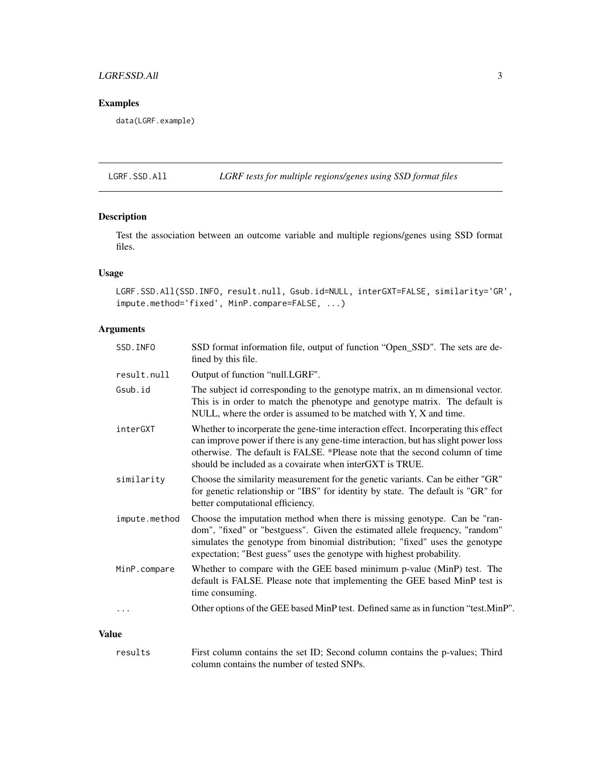#### <span id="page-2-0"></span>LGRF.SSD.All 3

#### Examples

data(LGRF.example)

LGRF.SSD.All *LGRF tests for multiple regions/genes using SSD format files*

#### Description

Test the association between an outcome variable and multiple regions/genes using SSD format files.

#### Usage

LGRF.SSD.All(SSD.INFO, result.null, Gsub.id=NULL, interGXT=FALSE, similarity='GR', impute.method='fixed', MinP.compare=FALSE, ...)

#### Arguments

| SSD. INFO     | SSD format information file, output of function "Open_SSD". The sets are de-<br>fined by this file.                                                                                                                                                                                                                  |
|---------------|----------------------------------------------------------------------------------------------------------------------------------------------------------------------------------------------------------------------------------------------------------------------------------------------------------------------|
| result.null   | Output of function "null.LGRF".                                                                                                                                                                                                                                                                                      |
| Gsub.id       | The subject id corresponding to the genotype matrix, an m dimensional vector.<br>This is in order to match the phenotype and genotype matrix. The default is<br>NULL, where the order is assumed to be matched with Y, X and time.                                                                                   |
| interGXT      | Whether to incorperate the gene-time interaction effect. Incorperating this effect<br>can improve power if there is any gene-time interaction, but has slight power loss<br>otherwise. The default is FALSE. *Please note that the second column of time<br>should be included as a covairate when interGXT is TRUE. |
| similarity    | Choose the similarity measurement for the genetic variants. Can be either "GR"<br>for genetic relationship or "IBS" for identity by state. The default is "GR" for<br>better computational efficiency.                                                                                                               |
| impute.method | Choose the imputation method when there is missing genotype. Can be "ran-<br>dom", "fixed" or "bestguess". Given the estimated allele frequency, "random"<br>simulates the genotype from binomial distribution; "fixed" uses the genotype<br>expectation; "Best guess" uses the genotype with highest probability.   |
| MinP.compare  | Whether to compare with the GEE based minimum p-value (MinP) test. The<br>default is FALSE. Please note that implementing the GEE based MinP test is<br>time consuming.                                                                                                                                              |
| $\cdots$      | Other options of the GEE based MinP test. Defined same as in function "test.MinP".                                                                                                                                                                                                                                   |
| Value         |                                                                                                                                                                                                                                                                                                                      |

results First column contains the set ID; Second column contains the p-values; Third column contains the number of tested SNPs.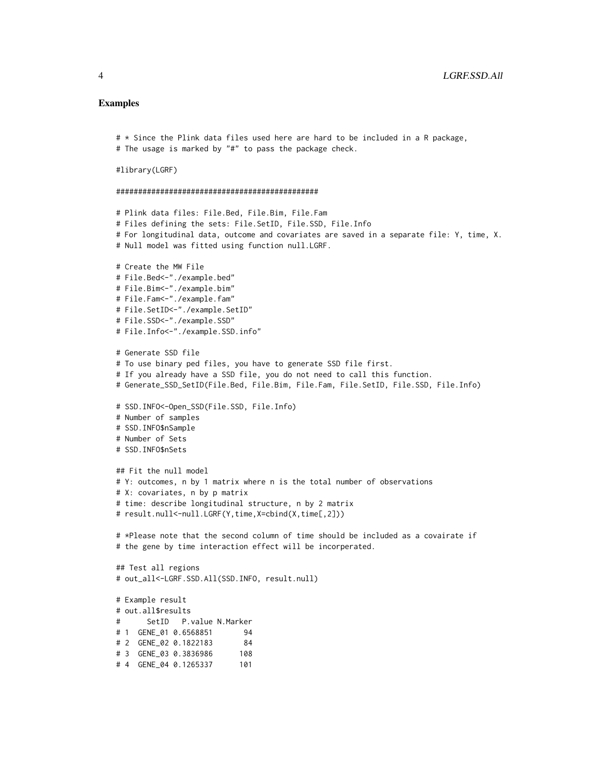#### Examples

```
# * Since the Plink data files used here are hard to be included in a R package,
# The usage is marked by "#" to pass the package check.
#library(LGRF)
##############################################
# Plink data files: File.Bed, File.Bim, File.Fam
# Files defining the sets: File.SetID, File.SSD, File.Info
# For longitudinal data, outcome and covariates are saved in a separate file: Y, time, X.
# Null model was fitted using function null.LGRF.
# Create the MW File
# File.Bed<-"./example.bed"
# File.Bim<-"./example.bim"
# File.Fam<-"./example.fam"
# File.SetID<-"./example.SetID"
# File.SSD<-"./example.SSD"
# File.Info<-"./example.SSD.info"
# Generate SSD file
# To use binary ped files, you have to generate SSD file first.
# If you already have a SSD file, you do not need to call this function.
# Generate_SSD_SetID(File.Bed, File.Bim, File.Fam, File.SetID, File.SSD, File.Info)
# SSD.INFO<-Open_SSD(File.SSD, File.Info)
# Number of samples
# SSD.INFO$nSample
# Number of Sets
# SSD.INFO$nSets
## Fit the null model
# Y: outcomes, n by 1 matrix where n is the total number of observations
# X: covariates, n by p matrix
# time: describe longitudinal structure, n by 2 matrix
# result.null<-null.LGRF(Y,time,X=cbind(X,time[,2]))
# *Please note that the second column of time should be included as a covairate if
# the gene by time interaction effect will be incorperated.
## Test all regions
# out_all<-LGRF.SSD.All(SSD.INFO, result.null)
# Example result
# out.all$results
# SetID P.value N.Marker
# 1 GENE_01 0.6568851 94
# 2 GENE_02 0.1822183 84
# 3 GENE_03 0.3836986 108
# 4 GENE_04 0.1265337 101
```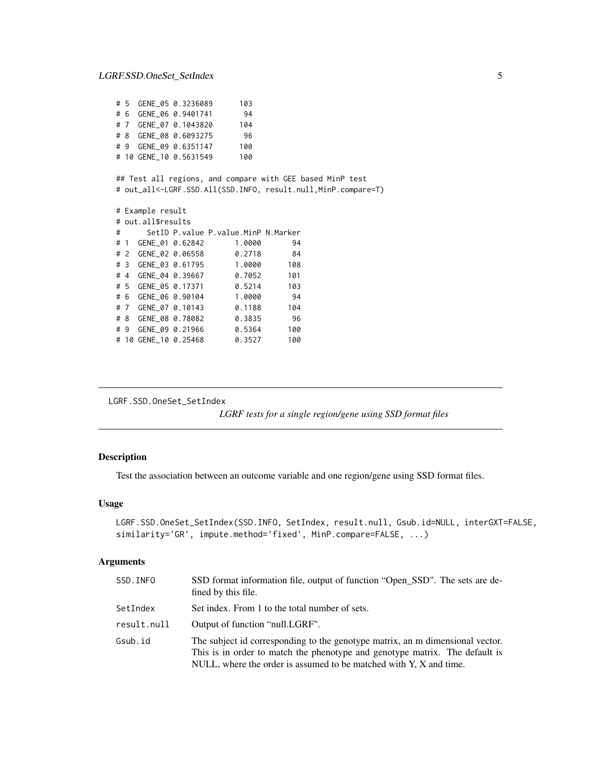<span id="page-4-0"></span>

|                                                                                                                            |                    | # 5 GENE_05 0.3236089                   | 103    |     |  |
|----------------------------------------------------------------------------------------------------------------------------|--------------------|-----------------------------------------|--------|-----|--|
|                                                                                                                            |                    | # 6 GENE_06 0.9401741 94                |        |     |  |
|                                                                                                                            |                    | # 7 GENE_07 0.1043820 104               |        |     |  |
|                                                                                                                            |                    | # 8 GENE_08 0.6093275 96                |        |     |  |
|                                                                                                                            |                    | # 9 GENE_09 0.6351147 100               |        |     |  |
|                                                                                                                            |                    | # 10 GENE_10 0.5631549 100              |        |     |  |
| ## Test all regions, and compare with GEE based MinP test<br># out_all<-LGRF.SSD.All(SSD.INFO, result.null,MinP.compare=T) |                    |                                         |        |     |  |
|                                                                                                                            | # Example result   |                                         |        |     |  |
|                                                                                                                            | # out.all\$results |                                         |        |     |  |
| $\#$                                                                                                                       |                    | SetID P. value P. value. MinP N. Marker |        |     |  |
|                                                                                                                            |                    | # 1 GENE_01 0.62842                     | 1.0000 | 94  |  |
|                                                                                                                            |                    | # 2 GENE_02 0.06558 0.2718              |        | 84  |  |
|                                                                                                                            |                    | # 3 GENE_03 0.61795 1.0000              |        | 108 |  |
|                                                                                                                            |                    | # 4 GENE_04 0.39667 0.7052              |        | 101 |  |
|                                                                                                                            |                    | # 5 GENE 05 0.17371 0.5214              |        | 103 |  |
|                                                                                                                            |                    | # 6 GENE_06 0.90104 1.0000 94           |        |     |  |
|                                                                                                                            |                    | # 7 GENE_07 0.10143 0.1188              |        | 104 |  |
|                                                                                                                            |                    | # 8 GENE_08 0.78082 0.3835 96           |        |     |  |
|                                                                                                                            |                    | # 9 GENE_09 0.21966 0.5364              |        | 100 |  |
|                                                                                                                            |                    | # 10 GENE_10 0.25468 0.3527             |        | 100 |  |
|                                                                                                                            |                    |                                         |        |     |  |

```
LGRF.SSD.OneSet_SetIndex
```
*LGRF tests for a single region/gene using SSD format files*

#### Description

Test the association between an outcome variable and one region/gene using SSD format files.

#### Usage

```
LGRF.SSD.OneSet_SetIndex(SSD.INFO, SetIndex, result.null, Gsub.id=NULL, interGXT=FALSE,
similarity='GR', impute.method='fixed', MinP.compare=FALSE, ...)
```
#### Arguments

| SSD. INFO   | SSD format information file, output of function "Open_SSD". The sets are de-<br>fined by this file.                                                                                                                                |
|-------------|------------------------------------------------------------------------------------------------------------------------------------------------------------------------------------------------------------------------------------|
| SetIndex    | Set index. From 1 to the total number of sets.                                                                                                                                                                                     |
| result.null | Output of function "null.LGRF".                                                                                                                                                                                                    |
| Gsub.id     | The subject id corresponding to the genotype matrix, an m dimensional vector.<br>This is in order to match the phenotype and genotype matrix. The default is<br>NULL, where the order is assumed to be matched with Y, X and time. |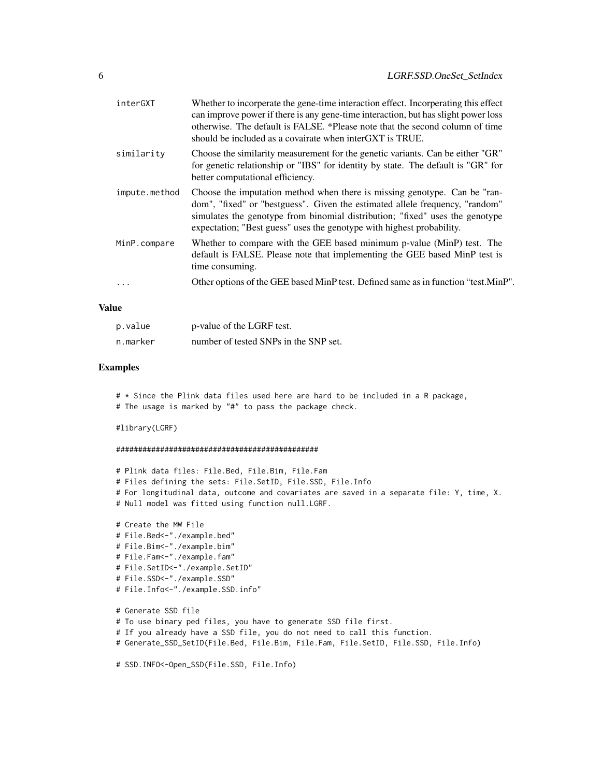| interGXT      | Whether to incorperate the gene-time interaction effect. Incorperating this effect<br>can improve power if there is any gene-time interaction, but has slight power loss<br>otherwise. The default is FALSE. *Please note that the second column of time<br>should be included as a covairate when interGXT is TRUE. |
|---------------|----------------------------------------------------------------------------------------------------------------------------------------------------------------------------------------------------------------------------------------------------------------------------------------------------------------------|
| similarity    | Choose the similarity measurement for the genetic variants. Can be either "GR"<br>for genetic relationship or "IBS" for identity by state. The default is "GR" for<br>better computational efficiency.                                                                                                               |
| impute.method | Choose the imputation method when there is missing genotype. Can be "ran-<br>dom", "fixed" or "bestguess". Given the estimated allele frequency, "random"<br>simulates the genotype from binomial distribution; "fixed" uses the genotype<br>expectation; "Best guess" uses the genotype with highest probability.   |
| MinP.compare  | Whether to compare with the GEE based minimum p-value (MinP) test. The<br>default is FALSE. Please note that implementing the GEE based MinP test is<br>time consuming.                                                                                                                                              |
|               | Other options of the GEE based MinP test. Defined same as in function "test. MinP".                                                                                                                                                                                                                                  |

#### Value

| p.value  | p-value of the LGRF test.             |
|----------|---------------------------------------|
| n.marker | number of tested SNPs in the SNP set. |

#### Examples

# \* Since the Plink data files used here are hard to be included in a R package, # The usage is marked by "#" to pass the package check.

#library(LGRF)

```
##############################################
```

```
# Plink data files: File.Bed, File.Bim, File.Fam
# Files defining the sets: File.SetID, File.SSD, File.Info
# For longitudinal data, outcome and covariates are saved in a separate file: Y, time, X.
# Null model was fitted using function null.LGRF.
```

```
# Create the MW File
# File.Bed<-"./example.bed"
# File.Bim<-"./example.bim"
# File.Fam<-"./example.fam"
# File.SetID<-"./example.SetID"
# File.SSD<-"./example.SSD"
# File.Info<-"./example.SSD.info"
# Generate SSD file
# To use binary ped files, you have to generate SSD file first.
# If you already have a SSD file, you do not need to call this function.
# Generate_SSD_SetID(File.Bed, File.Bim, File.Fam, File.SetID, File.SSD, File.Info)
```
# SSD.INFO<-Open\_SSD(File.SSD, File.Info)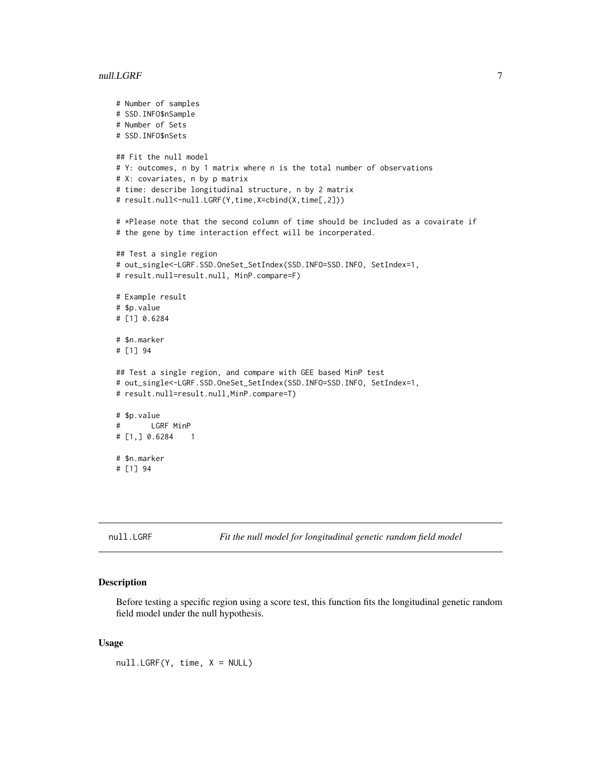#### <span id="page-6-0"></span>null.LGRF 7

```
# Number of samples
# SSD.INFO$nSample
# Number of Sets
# SSD.INFO$nSets
## Fit the null model
# Y: outcomes, n by 1 matrix where n is the total number of observations
# X: covariates, n by p matrix
# time: describe longitudinal structure, n by 2 matrix
# result.null<-null.LGRF(Y,time,X=cbind(X,time[,2]))
# *Please note that the second column of time should be included as a covairate if
# the gene by time interaction effect will be incorperated.
## Test a single region
# out_single<-LGRF.SSD.OneSet_SetIndex(SSD.INFO=SSD.INFO, SetIndex=1,
# result.null=result.null, MinP.compare=F)
# Example result
# $p.value
# [1] 0.6284
# $n.marker
# [1] 94
## Test a single region, and compare with GEE based MinP test
# out_single<-LGRF.SSD.OneSet_SetIndex(SSD.INFO=SSD.INFO, SetIndex=1,
# result.null=result.null,MinP.compare=T)
# $p.value
# LGRF MinP
# [1,] 0.6284 1
# $n.marker
# [1] 94
```
null.LGRF *Fit the null model for longitudinal genetic random field model*

#### Description

Before testing a specific region using a score test, this function fits the longitudinal genetic random field model under the null hypothesis.

#### Usage

null.LGRF(Y, time, X = NULL)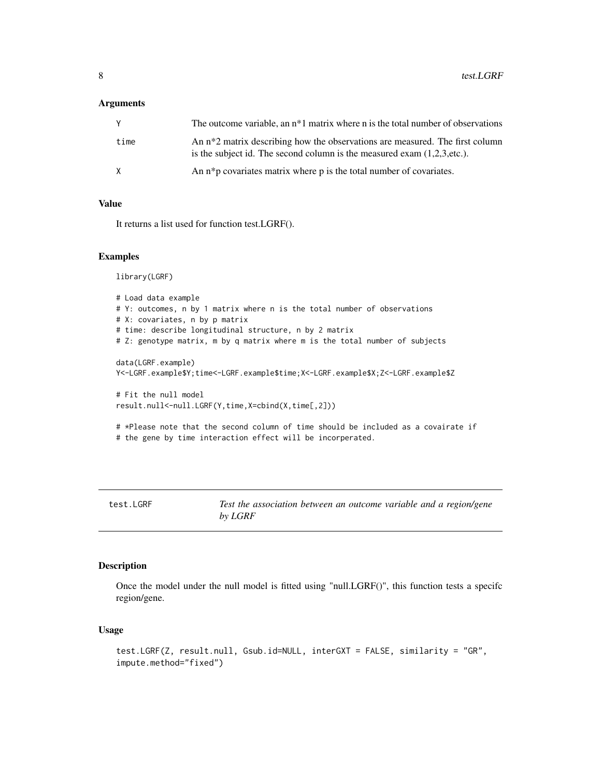#### <span id="page-7-0"></span>**Arguments**

| Y    | The outcome variable, an $n*1$ matrix where n is the total number of observations                                                                                     |
|------|-----------------------------------------------------------------------------------------------------------------------------------------------------------------------|
| time | An n <sup>*2</sup> matrix describing how the observations are measured. The first column<br>is the subject id. The second column is the measured exam $(1,2,3,etc.).$ |
| X    | An n <sup>*</sup> p covariates matrix where p is the total number of covariates.                                                                                      |

#### Value

It returns a list used for function test.LGRF().

#### Examples

library(LGRF)

```
# Load data example
# Y: outcomes, n by 1 matrix where n is the total number of observations
# X: covariates, n by p matrix
# time: describe longitudinal structure, n by 2 matrix
# Z: genotype matrix, m by q matrix where m is the total number of subjects
data(LGRF.example)
Y<-LGRF.example$Y;time<-LGRF.example$time;X<-LGRF.example$X;Z<-LGRF.example$Z
# Fit the null model
result.null<-null.LGRF(Y,time,X=cbind(X,time[,2]))
# *Please note that the second column of time should be included as a covairate if
# the gene by time interaction effect will be incorperated.
```
test.LGRF *Test the association between an outcome variable and a region/gene by LGRF*

#### Description

Once the model under the null model is fitted using "null.LGRF()", this function tests a specifc region/gene.

#### Usage

```
test.LGRF(Z, result.null, Gsub.id=NULL, interGXT = FALSE, similarity = "GR",
impute.method="fixed")
```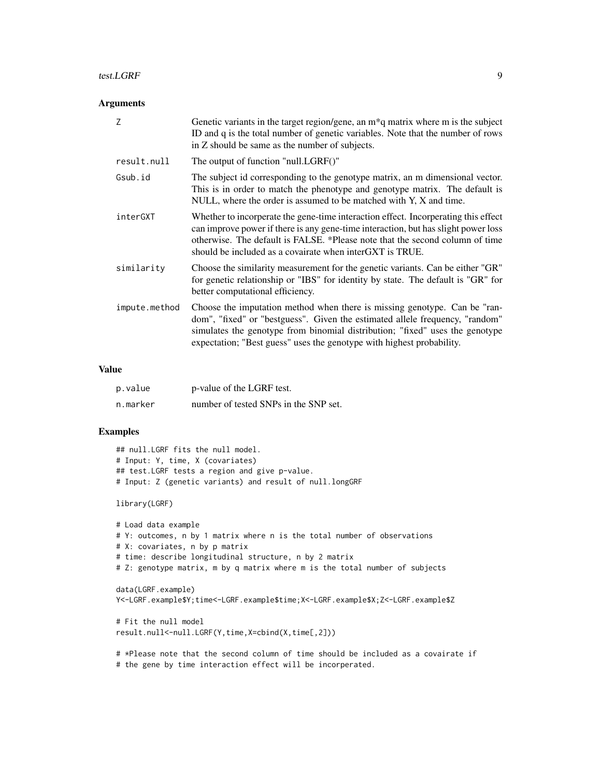#### test.LGRF 9

#### Arguments

| Z             | Genetic variants in the target region/gene, an $m*q$ matrix where m is the subject<br>ID and q is the total number of genetic variables. Note that the number of rows<br>in Z should be same as the number of subjects.                                                                                              |  |
|---------------|----------------------------------------------------------------------------------------------------------------------------------------------------------------------------------------------------------------------------------------------------------------------------------------------------------------------|--|
| result.null   | The output of function "null.LGRF()"                                                                                                                                                                                                                                                                                 |  |
| Gsub.id       | The subject id corresponding to the genotype matrix, an m dimensional vector.<br>This is in order to match the phenotype and genotype matrix. The default is<br>NULL, where the order is assumed to be matched with Y, X and time.                                                                                   |  |
| interGXT      | Whether to incorperate the gene-time interaction effect. Incorperating this effect<br>can improve power if there is any gene-time interaction, but has slight power loss<br>otherwise. The default is FALSE. *Please note that the second column of time<br>should be included as a covairate when interGXT is TRUE. |  |
| similarity    | Choose the similarity measurement for the genetic variants. Can be either "GR"<br>for genetic relationship or "IBS" for identity by state. The default is "GR" for<br>better computational efficiency.                                                                                                               |  |
| impute.method | Choose the imputation method when there is missing genotype. Can be "ran-<br>dom", "fixed" or "bestguess". Given the estimated allele frequency, "random"<br>simulates the genotype from binomial distribution; "fixed" uses the genotype<br>expectation; "Best guess" uses the genotype with highest probability.   |  |

#### Value

| p.value  | p-value of the LGRF test.             |
|----------|---------------------------------------|
| n.marker | number of tested SNPs in the SNP set. |

#### Examples

```
## null.LGRF fits the null model.
# Input: Y, time, X (covariates)
## test.LGRF tests a region and give p-value.
# Input: Z (genetic variants) and result of null.longGRF
```
library(LGRF)

```
# Load data example
# Y: outcomes, n by 1 matrix where n is the total number of observations
# X: covariates, n by p matrix
# time: describe longitudinal structure, n by 2 matrix
# Z: genotype matrix, m by q matrix where m is the total number of subjects
data(LGRF.example)
Y<-LGRF.example$Y;time<-LGRF.example$time;X<-LGRF.example$X;Z<-LGRF.example$Z
# Fit the null model
result.null<-null.LGRF(Y,time,X=cbind(X,time[,2]))
```
# \*Please note that the second column of time should be included as a covairate if # the gene by time interaction effect will be incorperated.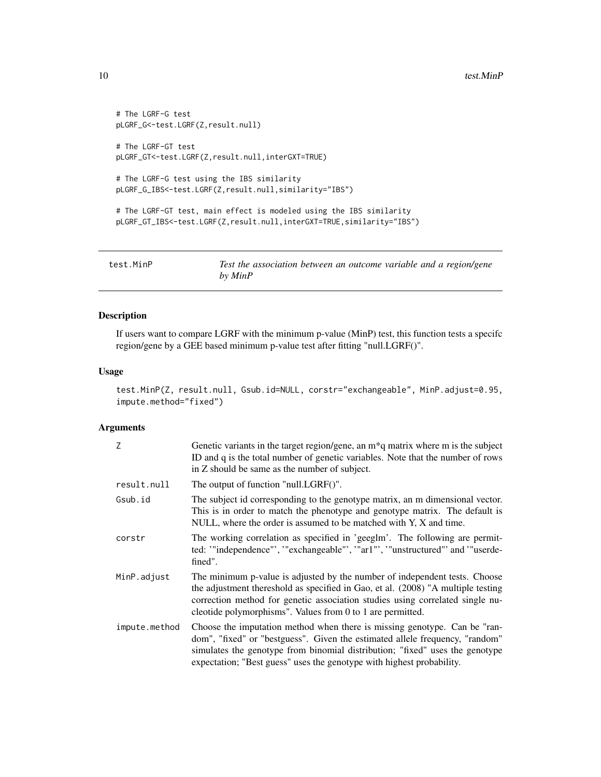```
# The LGRF-G test
pLGRF_G<-test.LGRF(Z,result.null)
# The LGRF-GT test
pLGRF_GT<-test.LGRF(Z,result.null,interGXT=TRUE)
# The LGRF-G test using the IBS similarity
pLGRF_G_IBS<-test.LGRF(Z,result.null,similarity="IBS")
# The LGRF-GT test, main effect is modeled using the IBS similarity
pLGRF_GT_IBS<-test.LGRF(Z,result.null,interGXT=TRUE,similarity="IBS")
```
test.MinP *Test the association between an outcome variable and a region/gene by MinP*

#### Description

If users want to compare LGRF with the minimum p-value (MinP) test, this function tests a specifc region/gene by a GEE based minimum p-value test after fitting "null.LGRF()".

#### Usage

```
test.MinP(Z, result.null, Gsub.id=NULL, corstr="exchangeable", MinP.adjust=0.95,
impute.method="fixed")
```
#### Arguments

| Z             | Genetic variants in the target region/gene, an $m*q$ matrix where m is the subject<br>ID and q is the total number of genetic variables. Note that the number of rows<br>in Z should be same as the number of subject.                                                                                             |
|---------------|--------------------------------------------------------------------------------------------------------------------------------------------------------------------------------------------------------------------------------------------------------------------------------------------------------------------|
| result.null   | The output of function "null.LGRF()".                                                                                                                                                                                                                                                                              |
| Gsub.id       | The subject id corresponding to the genotype matrix, an m dimensional vector.<br>This is in order to match the phenotype and genotype matrix. The default is<br>NULL, where the order is assumed to be matched with Y, X and time.                                                                                 |
| corstr        | The working correlation as specified in 'geeglm'. The following are permit-<br>ted: "independence"', "exchangeable"', "ar1"', "unstructured"' and "userde-<br>fined".                                                                                                                                              |
| MinP.adjust   | The minimum p-value is adjusted by the number of independent tests. Choose<br>the adjustment thereshold as specified in Gao, et al. (2008) "A multiple testing<br>correction method for genetic association studies using correlated single nu-<br>cleotide polymorphisms". Values from 0 to 1 are permitted.      |
| impute.method | Choose the imputation method when there is missing genotype. Can be "ran-<br>dom", "fixed" or "bestguess". Given the estimated allele frequency, "random"<br>simulates the genotype from binomial distribution; "fixed" uses the genotype<br>expectation; "Best guess" uses the genotype with highest probability. |

<span id="page-9-0"></span>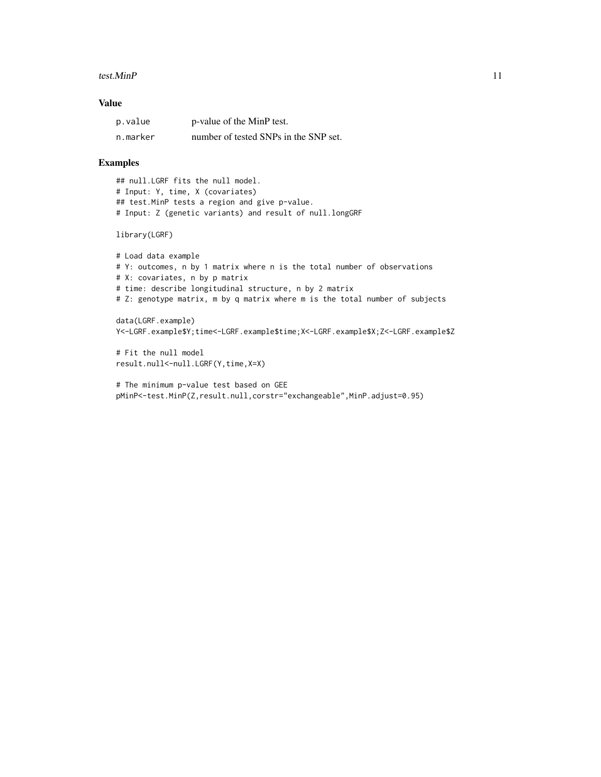#### $t$ est.MinP  $11$

#### Value

| p.value  | p-value of the MinP test.             |
|----------|---------------------------------------|
| n.marker | number of tested SNPs in the SNP set. |

#### Examples

## null.LGRF fits the null model. # Input: Y, time, X (covariates) ## test.MinP tests a region and give p-value. # Input: Z (genetic variants) and result of null.longGRF

library(LGRF)

```
# Load data example
# Y: outcomes, n by 1 matrix where n is the total number of observations
# X: covariates, n by p matrix
# time: describe longitudinal structure, n by 2 matrix
# Z: genotype matrix, m by q matrix where m is the total number of subjects
data(LGRF.example)
```
Y<-LGRF.example\$Y;time<-LGRF.example\$time;X<-LGRF.example\$X;Z<-LGRF.example\$Z

# Fit the null model result.null<-null.LGRF(Y,time,X=X)

```
# The minimum p-value test based on GEE
pMinP<-test.MinP(Z,result.null,corstr="exchangeable",MinP.adjust=0.95)
```